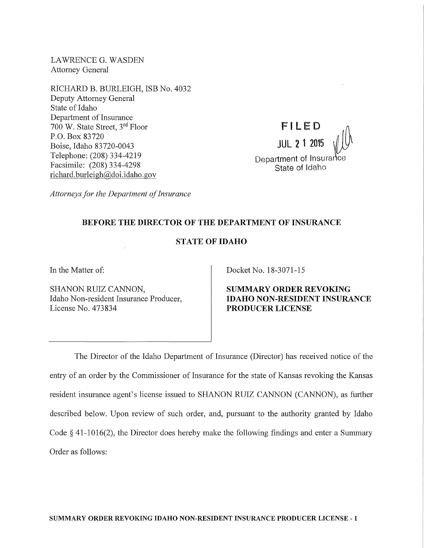LAWRENCEG. WASDEN Attorney General

RICHARD B. BURLEIGH, ISB No. 4032 Deputy Attorney General State of Idaho Department of Insurance 700 W. State Street, 3rd Floor P.O. Box 83720 Boise, Idaho 83720-0043 Telephone: (208) 334-4219 Facsimile: (208) 334-4298 richard.burleigh@doi.idaho.gov

FILED **JUL 2 1 2015** Department of Insurance State of Idaho

*Attorneys for the Department of Insurance* 

# BEFORE THE DIRECTOR OF THE DEPARTMENT OF INSURANCE

# STATE OF IDAHO

In the Matter of:

SHANON RUIZ CANNON, Idaho Non-resident Insurance Producer, License No. 473834

Docket No. 18-3071-15

SUMMARY ORDER REVOKING IDAHO NON-RESIDENT INSURANCE PRODUCER LICENSE

The Director of the Idaho Department of Insurance (Director) has received notice of the entry of an order by the Commissioner of Insurance for the state of Kansas revoking the Kansas resident insurance agent's license issued to SHANON RUIZ CANNON (CANNON), as further described below. Upon review of such order, and, pursuant to the authority granted by Idaho Code § 41-1016(2), the Director does hereby make the following findings and enter a Summary Order as follows: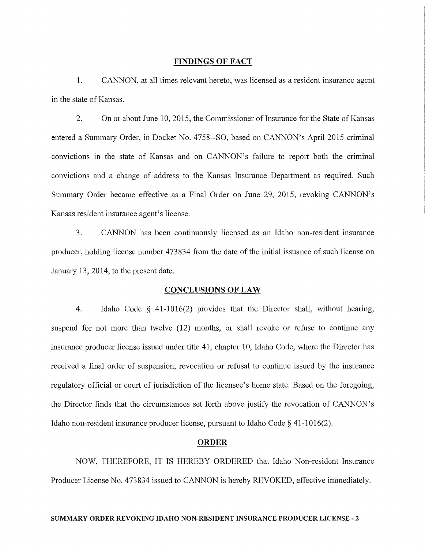#### **FINDINGS OF FACT**

**1.** CANNON, at all times relevant hereto, was licensed as a resident insurance agent in the state of Kansas.

2. On or about June 10, 2015, the Commissioner of Insurance for the State of Kansas entered a Summary Order, in Docket No. 4758--SO, based on CANNON's April 2015 criminal convictions in the state of Kansas and on CANNON's failure to report both the criminal convictions and a change of address to the Kansas Insurance Department as required. Such Summary Order became effective as a Final Order on June 29, 2015, revoking CANNON's Kansas resident insurance agent's license.

3. CANNON has been continuously licensed as an Idaho non-resident insurance producer, holding license number 473834 from the date of the initial issuance of such license on January 13, 2014, to the present date.

### **CONCLUSIONS OF LAW**

4. Idaho Code § 41-1016(2) provides that the Director shall, without hearing, suspend for not more than twelve (12) months, or shall revoke or refuse to continue any insurance producer license issued under title 41, chapter 10, Idaho Code, where the Director has received a final order of suspension, revocation or refusal to continue issued by the insurance regulatory official or court of jurisdiction of the licensee's home state. Based on the foregoing, the Director finds that the circumstances set forth above justify the revocation of CANNON's Idaho non-resident insurance producer license, pursuant to Idaho Code § 41-1016(2).

#### **ORDER**

NOW, THEREFORE, IT IS HEREBY ORDERED that Idaho Non-resident Insurance Producer License No. 473834 issued to CANNON is hereby REVOKED, effective immediately.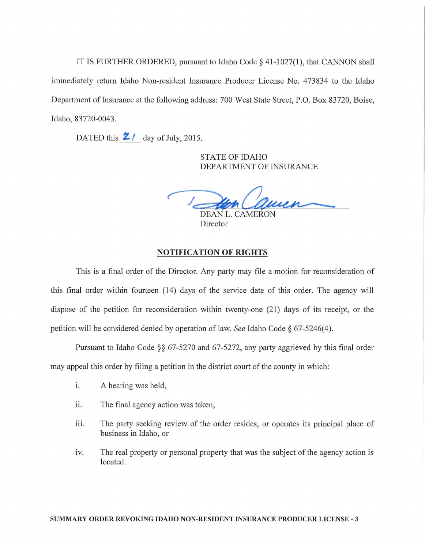IT IS FURTHER ORDERED, pursuant to Idaho Code§ 41-1027(1), that CANNON shall immediately return Idaho Non-resident Insurance Producer License No. 473834 to the Idaho Department of Insurance at the following address: 700 West State Street, P.O. Box 83720, Boise, Idaho, 83720-0043.

DATED this  $2/$  day of July, 2015.

STATE OF IDAHO DEPARTMENT OF INSURANCE

DEAN L. CAMERON

Director

### NOTIFICATION OF RIGHTS

This is a final order of the Director. Any party may file a motion for reconsideration of this final order within fomteen (14) days of the service date of this order. The agency will dispose of the petition for reconsideration within twenty-one (21) days of its receipt, or the petition will be considered denied by operation of law. *See* Idaho Code§ 67-5246( 4).

Pursuant to Idaho Code  $\S$ § 67-5270 and 67-5272, any party aggrieved by this final order may appeal this order by filing a petition in the district court of the county in which:

- i. A hearing was held,
- ii. The final agency action was taken,
- iii. The party seeking review of the order resides, or operates its principal place of business in Idaho, or
- iv. The real property or personal property that was the subject of the agency action is located.